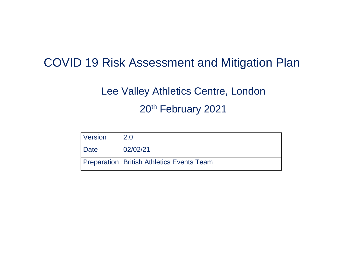# COVID 19 Risk Assessment and Mitigation Plan

# Lee Valley Athletics Centre, London 20th February 2021

| Version     | 2.0                                         |
|-------------|---------------------------------------------|
| <b>Date</b> | 02/02/21                                    |
|             | Preparation   British Athletics Events Team |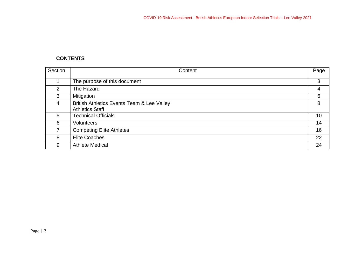# **CONTENTS**

| Section | Content                                                              | Page |
|---------|----------------------------------------------------------------------|------|
|         | The purpose of this document                                         | 3    |
| 2       | The Hazard                                                           | 4    |
| 3       | Mitigation                                                           | 6    |
| 4       | British Athletics Events Team & Lee Valley<br><b>Athletics Staff</b> | 8    |
| 5       | <b>Technical Officials</b>                                           | 10   |
| 6       | Volunteers                                                           | 14   |
| 7       | <b>Competing Elite Athletes</b>                                      | 16   |
| 8       | <b>Elite Coaches</b>                                                 | 22   |
| 9       | <b>Athlete Medical</b>                                               | 24   |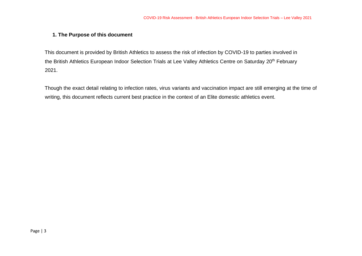#### **1. The Purpose of this document**

This document is provided by British Athletics to assess the risk of infection by COVID-19 to parties involved in the British Athletics European Indoor Selection Trials at Lee Valley Athletics Centre on Saturday 20<sup>th</sup> February 2021.

Though the exact detail relating to infection rates, virus variants and vaccination impact are still emerging at the time of writing, this document reflects current best practice in the context of an Elite domestic athletics event.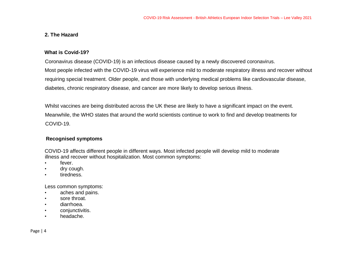#### **2. The Hazard**

#### **What is Covid-19?**

Coronavirus disease (COVID-19) is an infectious disease caused by a newly discovered coronavirus. Most people infected with the COVID-19 virus will experience mild to moderate respiratory illness and recover without requiring special treatment. Older people, and those with underlying medical problems like cardiovascular disease, diabetes, chronic respiratory disease, and cancer are more likely to develop serious illness.

Whilst vaccines are being distributed across the UK these are likely to have a significant impact on the event. Meanwhile, the WHO states that around the world scientists continue to work to find and develop treatments for COVID-19.

#### **Recognised symptoms**

COVID-19 affects different people in different ways. Most infected people will develop mild to moderate illness and recover without hospitalization. Most common symptoms:

- fever.
- dry cough.
- tiredness.

Less common symptoms:

- aches and pains.
- sore throat.
- diarrhoea.
- conjunctivitis.
- headache.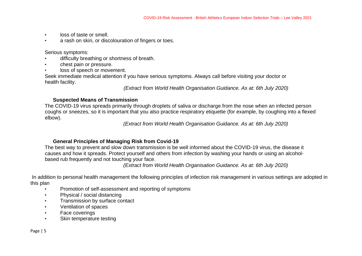- loss of taste or smell.
- a rash on skin, or discolouration of fingers or toes.

Serious symptoms:

- difficulty breathing or shortness of breath.
- chest pain or pressure.
- loss of speech or movement.

Seek immediate medical attention if you have serious symptoms. Always call before visiting your doctor or health facility.

*(Extract from World Health Organisation Guidance. As at: 6th July 2020)* 

#### **Suspected Means of Transmission**

The COVID-19 virus spreads primarily through droplets of saliva or discharge from the nose when an infected person coughs or sneezes, so it is important that you also practice respiratory etiquette (for example, by coughing into a flexed elbow).

*(Extract from World Health Organisation Guidance. As at: 6th July 2020)* 

# **General Principles of Managing Risk from Covid-19**

The best way to prevent and slow down transmission is be well informed about the COVID-19 virus, the disease it causes and how it spreads. Protect yourself and others from infection by washing your hands or using an alcoholbased rub frequently and not touching your face.

*(Extract from World Health Organisation Guidance. As at: 6th July 2020)* 

In addition to personal health management the following principles of infection risk management in various settings are adopted in this plan

- Promotion of self-assessment and reporting of symptoms
- Physical / social distancing
- Transmission by surface contact
- Ventilation of spaces
- Face coverings
- Skin temperature testing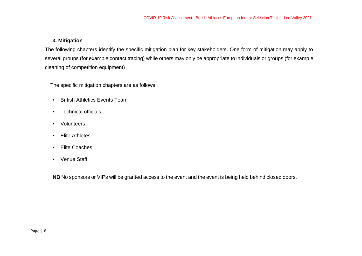### **3. Mitigation**

The following chapters identify the specific mitigation plan for key stakeholders. One form of mitigation may apply to several groups (for example contact tracing) while others may only be appropriate to individuals or groups (for example cleaning of competition equipment)

The specific mitigation chapters are as follows:

- British Athletics Events Team
- Technical officials
- Volunteers
- Elite Athletes
- Elite Coaches
- Venue Staff

**NB** No sponsors or VIPs will be granted access to the event and the event is being held behind closed doors.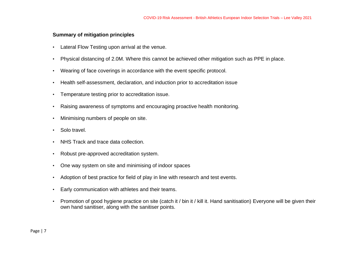#### **Summary of mitigation principles**

- Lateral Flow Testing upon arrival at the venue.
- Physical distancing of 2.0M. Where this cannot be achieved other mitigation such as PPE in place.
- Wearing of face coverings in accordance with the event specific protocol.
- Health self-assessment, declaration, and induction prior to accreditation issue
- Temperature testing prior to accreditation issue.
- Raising awareness of symptoms and encouraging proactive health monitoring.
- Minimising numbers of people on site.
- Solo travel.
- NHS Track and trace data collection.
- Robust pre-approved accreditation system.
- One way system on site and minimising of indoor spaces
- Adoption of best practice for field of play in line with research and test events.
- Early communication with athletes and their teams.
- Promotion of good hygiene practice on site (catch it / bin it / kill it. Hand sanitisation) Everyone will be given their own hand sanitiser, along with the sanitiser points.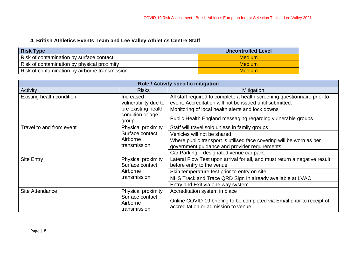# **4. British Athletics Events Team and Lee Valley Athletics Centre Staff**

| <b>Risk Type</b>                               | <b>Uncontrolled Level</b> |
|------------------------------------------------|---------------------------|
| Risk of contamination by surface contact       | <b>Medium</b>             |
| Risk of contamination by physical proximity    | <b>Medium</b>             |
| Risk of contamination by airborne transmission | <b>Medium</b>             |

| <b>Role / Activity specific mitigation</b>                                           |                                                                                                                |                                                                                                                                      |  |
|--------------------------------------------------------------------------------------|----------------------------------------------------------------------------------------------------------------|--------------------------------------------------------------------------------------------------------------------------------------|--|
| <b>Activity</b>                                                                      | <b>Risks</b>                                                                                                   | <b>Mitigation</b>                                                                                                                    |  |
| Existing health condition                                                            | Increased<br>vulnerability due to                                                                              | All staff required to complete a health screening questionnaire prior to<br>event. Accreditation will not be issued until submitted. |  |
|                                                                                      | pre-existing health                                                                                            | Monitoring of local health alerts and lock downs                                                                                     |  |
|                                                                                      | condition or age<br>group                                                                                      | Public Health England messaging regarding vulnerable groups                                                                          |  |
| Travel to and from event                                                             | Physical proximity                                                                                             | Staff will travel solo unless in family groups                                                                                       |  |
|                                                                                      | Surface contact                                                                                                | Vehicles will not be shared                                                                                                          |  |
| Airborne                                                                             | transmission                                                                                                   | Where public transport is utilised face covering will be worn as per<br>government guidance and provider requirements                |  |
|                                                                                      |                                                                                                                | Car Parking - designated venue car park.                                                                                             |  |
| <b>Site Entry</b><br>Surface contact<br>Airborne                                     | Physical proximity                                                                                             | Lateral Flow Test upon arrival for all, and must return a negative result<br>before entry to the venue                               |  |
|                                                                                      | transmission                                                                                                   | Skin temperature test prior to entry on site.                                                                                        |  |
|                                                                                      |                                                                                                                | NHS Track and Trace QRD Sign In already available at LVAC                                                                            |  |
|                                                                                      |                                                                                                                | Entry and Exit via one way system                                                                                                    |  |
| Physical proximity<br>Site Attendance<br>Surface contact<br>Airborne<br>transmission |                                                                                                                | Accreditation system in place                                                                                                        |  |
|                                                                                      | Online COVID-19 briefing to be completed via Email prior to receipt of<br>accreditation or admission to venue. |                                                                                                                                      |  |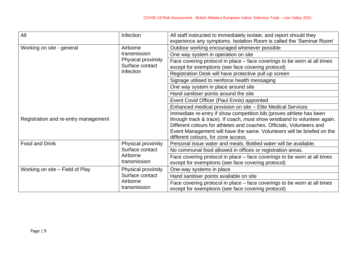| All                                                                                                  | Infection                                                                                                                      | All staff instructed to immediately isolate, and report should they<br>experience any symptoms. Isolation Room is called the 'Seminar Room'                                                                                                                                                                                                |
|------------------------------------------------------------------------------------------------------|--------------------------------------------------------------------------------------------------------------------------------|--------------------------------------------------------------------------------------------------------------------------------------------------------------------------------------------------------------------------------------------------------------------------------------------------------------------------------------------|
| Working on site - general                                                                            | Airborne<br>transmission<br>Physical proximity<br>Surface contact<br>Infection                                                 | Outdoor working encouraged whenever possible                                                                                                                                                                                                                                                                                               |
|                                                                                                      |                                                                                                                                | One way system in operation on site                                                                                                                                                                                                                                                                                                        |
|                                                                                                      |                                                                                                                                | Face covering protocol in place – face coverings to be worn at all times<br>except for exemptions (see face covering protocol)                                                                                                                                                                                                             |
|                                                                                                      |                                                                                                                                | Registration Desk will have protective pull up screen                                                                                                                                                                                                                                                                                      |
|                                                                                                      |                                                                                                                                | Signage utilised to reinforce health messaging                                                                                                                                                                                                                                                                                             |
|                                                                                                      |                                                                                                                                | One way system in place around site                                                                                                                                                                                                                                                                                                        |
|                                                                                                      |                                                                                                                                | Hand sanitiser points around the site                                                                                                                                                                                                                                                                                                      |
|                                                                                                      |                                                                                                                                | Event Covid Officer (Paul Ennis) appointed                                                                                                                                                                                                                                                                                                 |
|                                                                                                      |                                                                                                                                | Enhanced medical provision on site - Elite Medical Services                                                                                                                                                                                                                                                                                |
| Registration and re-entry management                                                                 |                                                                                                                                | Immediate re-entry if show competition bib (proves athlete has been<br>through track & trace). If coach, must show wristband to volunteer again.<br>Different colours for athletes and coaches. Officials, Volunteers and<br>Event Management will have the same. Volunteers will be briefed on the<br>different colours, for zone access. |
| Food and Drink                                                                                       | Physical proximity                                                                                                             | Personal issue water and meals. Bottled water will be available.                                                                                                                                                                                                                                                                           |
|                                                                                                      | Surface contact<br>Airborne<br>transmission                                                                                    | No communal food allowed in offices or registration areas.                                                                                                                                                                                                                                                                                 |
|                                                                                                      |                                                                                                                                | Face covering protocol in place – face coverings to be worn at all times<br>except for exemptions (see face covering protocol)                                                                                                                                                                                                             |
| Working on site – Field of Play<br>Physical proximity<br>Surface contact<br>Airborne<br>transmission |                                                                                                                                | One-way systems in place                                                                                                                                                                                                                                                                                                                   |
|                                                                                                      |                                                                                                                                | Hand sanitiser points available on site                                                                                                                                                                                                                                                                                                    |
|                                                                                                      | Face covering protocol in place – face coverings to be worn at all times<br>except for exemptions (see face covering protocol) |                                                                                                                                                                                                                                                                                                                                            |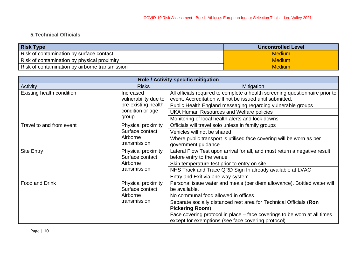# **5.Technical Officials**

| <b>Risk Type</b>                               | <b>Uncontrolled Level</b> |
|------------------------------------------------|---------------------------|
| Risk of contamination by surface contact       | <b>Medium</b>             |
| Risk of contamination by physical proximity    | <b>Medium</b>             |
| Risk of contamination by airborne transmission | <b>Medium</b>             |

| Role / Activity specific mitigation |                                                                   |                                                                                                                                          |
|-------------------------------------|-------------------------------------------------------------------|------------------------------------------------------------------------------------------------------------------------------------------|
| Activity                            | <b>Risks</b>                                                      | <b>Mitigation</b>                                                                                                                        |
| Existing health condition           | Increased<br>vulnerability due to                                 | All officials required to complete a health screening questionnaire prior to<br>event. Accreditation will not be issued until submitted. |
|                                     | pre-existing health                                               | Public Health England messaging regarding vulnerable groups                                                                              |
|                                     | condition or age                                                  | <b>UKA Human Resources and Welfare policies</b>                                                                                          |
|                                     | group                                                             | Monitoring of local health alerts and lock downs                                                                                         |
| Travel to and from event            | Physical proximity                                                | Officials will travel solo unless in family groups                                                                                       |
|                                     | Surface contact                                                   | Vehicles will not be shared                                                                                                              |
| Airborne<br>transmission            |                                                                   | Where public transport is utilised face covering will be worn as per<br>government guidance                                              |
| <b>Site Entry</b>                   | Physical proximity<br>Surface contact<br>Airborne<br>transmission | Lateral Flow Test upon arrival for all, and must return a negative result<br>before entry to the venue                                   |
|                                     |                                                                   | Skin temperature test prior to entry on site.                                                                                            |
|                                     |                                                                   | NHS Track and Trace QRD Sign In already available at LVAC                                                                                |
|                                     |                                                                   | Entry and Exit via one way system                                                                                                        |
| Food and Drink                      | Physical proximity<br>Surface contact<br>Airborne<br>transmission | Personal issue water and meals (per diem allowance). Bottled water will<br>be available.                                                 |
|                                     |                                                                   | No communal food allowed in offices                                                                                                      |
|                                     |                                                                   | Separate socially distanced rest area for Technical Officials (Ron<br><b>Pickering Room)</b>                                             |
|                                     |                                                                   | Face covering protocol in place - face coverings to be worn at all times<br>except for exemptions (see face covering protocol)           |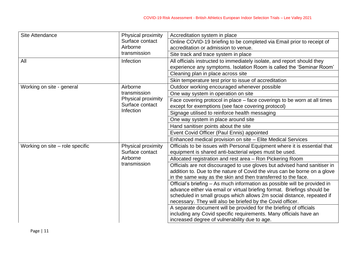| Site Attendance                 | Physical proximity                          | Accreditation system in place                                                                                      |
|---------------------------------|---------------------------------------------|--------------------------------------------------------------------------------------------------------------------|
|                                 | Surface contact                             | Online COVID-19 briefing to be completed via Email prior to receipt of                                             |
|                                 | Airborne<br>transmission                    | accreditation or admission to venue.                                                                               |
|                                 |                                             | Site track and trace system in place                                                                               |
| All                             | Infection                                   | All officials instructed to immediately isolate, and report should they                                            |
|                                 |                                             | experience any symptoms. Isolation Room is called the 'Seminar Room'                                               |
|                                 |                                             | Cleaning plan in place across site                                                                                 |
|                                 |                                             | Skin temperature test prior to issue of accreditation                                                              |
| Working on site - general       | Airborne<br>transmission                    | Outdoor working encouraged whenever possible                                                                       |
|                                 |                                             | One way system in operation on site                                                                                |
|                                 | Physical proximity                          | Face covering protocol in place – face coverings to be worn at all times                                           |
|                                 | Surface contact<br><b>Infection</b>         | except for exemptions (see face covering protocol)                                                                 |
|                                 |                                             | Signage utilised to reinforce health messaging                                                                     |
|                                 |                                             | One way system in place around site                                                                                |
|                                 |                                             | Hand sanitiser points about the site                                                                               |
|                                 |                                             | Event Covid Officer (Paul Ennis) appointed                                                                         |
|                                 |                                             | Enhanced medical provision on site – Elite Medical Services                                                        |
| Working on site - role specific | Physical proximity                          | Officials to be issues with Personal Equipment where it is essential that                                          |
|                                 | Surface contact<br>Airborne<br>transmission | equipment is shared anti-bacterial wipes must be used.                                                             |
|                                 |                                             | Allocated registration and rest area - Ron Pickering Room                                                          |
|                                 |                                             | Officials are not discouraged to use gloves but advised hand sanitiser in                                          |
|                                 |                                             | addition to. Due to the nature of Covid the virus can be borne on a glove                                          |
|                                 |                                             | in the same way as the skin and then transferred to the face.                                                      |
|                                 |                                             | Official's briefing - As much information as possible will be provided in                                          |
|                                 |                                             | advance either via email or virtual briefing format. Briefings should be                                           |
|                                 |                                             | scheduled in small groups which allows 2m social distance, repeated if                                             |
|                                 |                                             | necessary. They will also be briefed by the Covid officer.                                                         |
|                                 |                                             | A separate document will be provided for the briefing of officials                                                 |
|                                 |                                             | including any Covid specific requirements. Many officials have an<br>increased degree of vulnerability due to age. |
|                                 |                                             |                                                                                                                    |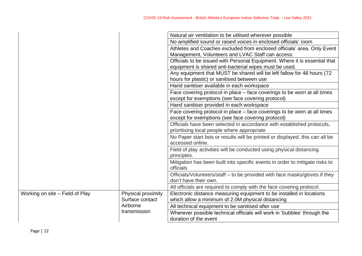|                                 |                    | Natural air ventilation to be utilised wherever possible                                    |
|---------------------------------|--------------------|---------------------------------------------------------------------------------------------|
|                                 |                    | No amplified sound or raised voices in enclosed officials' room                             |
|                                 |                    | Athletes and Coaches excluded from enclosed officials' area. Only Event                     |
|                                 |                    | Management, Volunteers and LVAC Staff can access.                                           |
|                                 |                    | Officials to be issued with Personal Equipment. Where it is essential that                  |
|                                 |                    | equipment is shared anti-bacterial wipes must be used.                                      |
|                                 |                    | Any equipment that MUST be shared will be left fallow for 48 hours (72)                     |
|                                 |                    | hours for plastic) or sanitised between use                                                 |
|                                 |                    | Hand sanitiser available in each workspace                                                  |
|                                 |                    | Face covering protocol in place – face coverings to be worn at all times                    |
|                                 |                    | except for exemptions (see face covering protocol)                                          |
|                                 |                    | Hand sanitiser provided in each workspace                                                   |
|                                 |                    | Face covering protocol in place - face coverings to be worn at all times                    |
|                                 |                    | except for exemptions (see face covering protocol)                                          |
|                                 |                    | Officials have been selected in accordance with established protocols,                      |
|                                 |                    | prioritising local people where appropriate                                                 |
|                                 |                    | No Paper start lists or results will be printed or displayed, this can all be               |
|                                 |                    | accessed online.                                                                            |
|                                 |                    | Field of play activities will be conducted using physical distancing                        |
|                                 |                    | principles.<br>Mitigation has been built into specific events in order to mitigate risks to |
|                                 |                    | officials                                                                                   |
|                                 |                    | Officials/Volunteers/staff – to be provided with face masks/gloves if they                  |
|                                 |                    | don't have their own.                                                                       |
|                                 |                    | All officials are required to comply with the face covering protocol.                       |
| Working on site - Field of Play | Physical proximity | Electronic distance measuring equipment to be installed in locations                        |
|                                 | Surface contact    | which allow a minimum of 2.0M physical distancing                                           |
|                                 | Airborne           | All technical equipment to be sanitised after use                                           |
|                                 | transmission       | Wherever possible technical officials will work in 'bubbles' through the                    |
|                                 |                    | duration of the event                                                                       |
|                                 |                    |                                                                                             |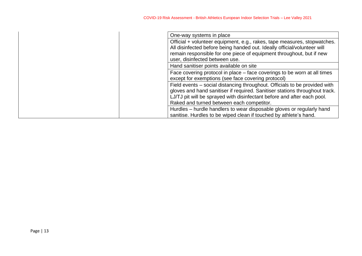| One-way systems in place                                                                                                                                                                                                             |
|--------------------------------------------------------------------------------------------------------------------------------------------------------------------------------------------------------------------------------------|
| Official + volunteer equipment, e.g., rakes, tape measures, stopwatches.                                                                                                                                                             |
| All disinfected before being handed out. Ideally official/volunteer will<br>remain responsible for one piece of equipment throughout, but if new                                                                                     |
| user, disinfected between use.                                                                                                                                                                                                       |
| Hand sanitiser points available on site                                                                                                                                                                                              |
| Face covering protocol in place – face coverings to be worn at all times<br>except for exemptions (see face covering protocol)                                                                                                       |
| Field events – social distancing throughout. Officials to be provided with<br>gloves and hand sanitiser if required. Sanitiser stations throughout track.<br>LJ/TJ pit will be sprayed with disinfectant before and after each pool. |
| Raked and turned between each competitor.                                                                                                                                                                                            |
| Hurdles – hurdle handlers to wear disposable gloves or regularly hand                                                                                                                                                                |
| sanitise. Hurdles to be wiped clean if touched by athlete's hand.                                                                                                                                                                    |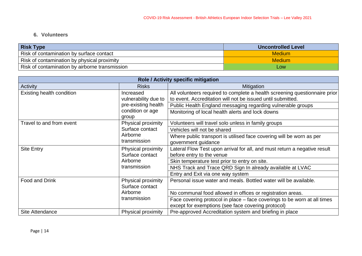# **6. Volunteers**

| <b>Risk Type</b>                               | <b>Uncontrolled Level</b> |
|------------------------------------------------|---------------------------|
| Risk of contamination by surface contact       | <b>Medium</b>             |
| Risk of contamination by physical proximity    | <b>Medium</b>             |
| Risk of contamination by airborne transmission | LOW                       |

| Role / Activity specific mitigation                                                    |                                   |                                                                                                                                           |
|----------------------------------------------------------------------------------------|-----------------------------------|-------------------------------------------------------------------------------------------------------------------------------------------|
| Activity                                                                               | <b>Risks</b>                      | Mitigation                                                                                                                                |
| <b>Existing health condition</b>                                                       | Increased<br>vulnerability due to | All volunteers required to complete a health screening questionnaire prior<br>to event. Accreditation will not be issued until submitted. |
|                                                                                        | pre-existing health               | Public Health England messaging regarding vulnerable groups                                                                               |
|                                                                                        | condition or age<br>group         | Monitoring of local health alerts and lock downs                                                                                          |
| Travel to and from event                                                               | Physical proximity                | Volunteers will travel solo unless in family groups                                                                                       |
|                                                                                        | Surface contact                   | Vehicles will not be shared                                                                                                               |
|                                                                                        | Airborne<br>transmission          | Where public transport is utilised face covering will be worn as per<br>government guidance                                               |
| <b>Site Entry</b><br>Physical proximity<br>Surface contact<br>Airborne<br>transmission |                                   | Lateral Flow Test upon arrival for all, and must return a negative result<br>before entry to the venue                                    |
|                                                                                        |                                   | Skin temperature test prior to entry on site.                                                                                             |
|                                                                                        |                                   | NHS Track and Trace QRD Sign In already available at LVAC                                                                                 |
|                                                                                        |                                   | Entry and Exit via one way system                                                                                                         |
| Food and Drink<br>Surface contact<br>Airborne<br>transmission                          | Physical proximity                | Personal issue water and meals. Bottled water will be available.                                                                          |
|                                                                                        |                                   | No communal food allowed in offices or registration areas.                                                                                |
|                                                                                        |                                   | Face covering protocol in place – face coverings to be worn at all times<br>except for exemptions (see face covering protocol)            |
| Site Attendance                                                                        | Physical proximity                | Pre-approved Accreditation system and briefing in place                                                                                   |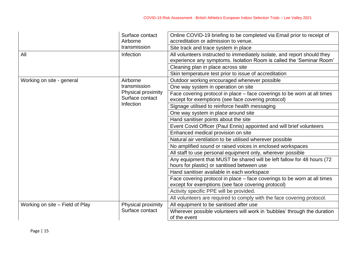|                                 | Surface contact<br>Airborne           | Online COVID-19 briefing to be completed via Email prior to receipt of<br>accreditation or admission to venue.                                   |
|---------------------------------|---------------------------------------|--------------------------------------------------------------------------------------------------------------------------------------------------|
|                                 | transmission                          | Site track and trace system in place                                                                                                             |
| All                             | Infection                             | All volunteers instructed to immediately isolate, and report should they<br>experience any symptoms. Isolation Room is called the 'Seminar Room' |
|                                 |                                       | Cleaning plan in place across site                                                                                                               |
|                                 |                                       | Skin temperature test prior to issue of accreditation                                                                                            |
| Working on site - general       | Airborne                              | Outdoor working encouraged whenever possible                                                                                                     |
|                                 | transmission                          | One way system in operation on site                                                                                                              |
|                                 | Physical proximity<br>Surface contact | Face covering protocol in place – face coverings to be worn at all times<br>except for exemptions (see face covering protocol)                   |
|                                 | Infection                             | Signage utilised to reinforce health messaging                                                                                                   |
|                                 |                                       | One way system in place around site                                                                                                              |
|                                 |                                       | Hand sanitiser points about the site                                                                                                             |
|                                 |                                       | Event Covid Officer (Paul Ennis) appointed and will brief volunteers                                                                             |
|                                 |                                       | Enhanced medical provision on site                                                                                                               |
|                                 |                                       | Natural air ventilation to be utilised wherever possible                                                                                         |
|                                 |                                       | No amplified sound or raised voices in enclosed workspaces                                                                                       |
|                                 |                                       | All staff to use personal equipment only, wherever possible                                                                                      |
|                                 |                                       | Any equipment that MUST be shared will be left fallow for 48 hours (72)<br>hours for plastic) or sanitised between use                           |
|                                 |                                       | Hand sanitiser available in each workspace                                                                                                       |
|                                 |                                       | Face covering protocol in place – face coverings to be worn at all times<br>except for exemptions (see face covering protocol)                   |
|                                 |                                       | Activity specific PPE will be provided.                                                                                                          |
|                                 |                                       | All volunteers are required to comply with the face covering protocol.                                                                           |
| Working on site - Field of Play | Physical proximity                    | All equipment to be sanitised after use                                                                                                          |
|                                 | Surface contact                       | Wherever possible volunteers will work in 'bubbles' through the duration<br>of the event                                                         |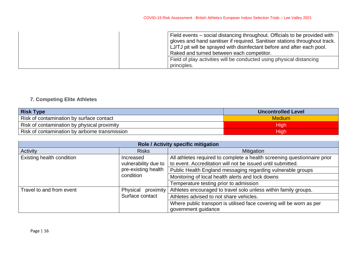| Field events – social distancing throughout. Officials to be provided with<br>gloves and hand sanitiser if required. Sanitiser stations throughout track.<br>LJ/TJ pit will be sprayed with disinfectant before and after each pool.<br>Raked and turned between each competitor. |
|-----------------------------------------------------------------------------------------------------------------------------------------------------------------------------------------------------------------------------------------------------------------------------------|
| Field of play activities will be conducted using physical distancing<br>principles.                                                                                                                                                                                               |

# **7. Competing Elite Athletes**

| <b>Risk Type</b>                               | <b>Uncontrolled Level</b> |
|------------------------------------------------|---------------------------|
| Risk of contamination by surface contact       | <b>Medium</b>             |
| Risk of contamination by physical proximity    | High                      |
| Risk of contamination by airborne transmission | High                      |

| Role / Activity specific mitigation |                                                  |                                                                                                                                         |  |
|-------------------------------------|--------------------------------------------------|-----------------------------------------------------------------------------------------------------------------------------------------|--|
| Activity                            | <b>Risks</b>                                     | <b>Mitigation</b>                                                                                                                       |  |
| Existing health condition           | Increased<br>vulnerability due to                | All athletes required to complete a health screening questionnaire prior<br>to event. Accreditation will not be issued until submitted. |  |
|                                     | pre-existing health                              | Public Health England messaging regarding vulnerable groups                                                                             |  |
| condition                           | Monitoring of local health alerts and lock downs |                                                                                                                                         |  |
|                                     |                                                  | Temperature testing prior to admission                                                                                                  |  |
| Travel to and from event            | Physical<br>proximity<br>Surface contact         | Athletes encouraged to travel solo unless within family groups.                                                                         |  |
|                                     |                                                  | Athletes advised to not share vehicles.                                                                                                 |  |
|                                     |                                                  | Where public transport is utilised face covering will be worn as per<br>government guidance                                             |  |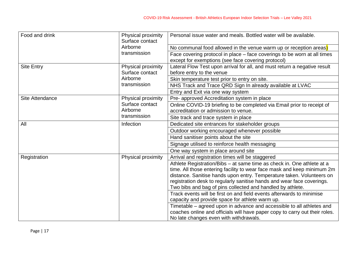| Food and drink         | Physical proximity<br>Surface contact | Personal issue water and meals. Bottled water will be available.                                                                                                                                                                                                                                                                                                   |  |
|------------------------|---------------------------------------|--------------------------------------------------------------------------------------------------------------------------------------------------------------------------------------------------------------------------------------------------------------------------------------------------------------------------------------------------------------------|--|
|                        | Airborne<br>transmission              | No communal food allowed in the venue warm up or reception areas)                                                                                                                                                                                                                                                                                                  |  |
|                        |                                       | Face covering protocol in place – face coverings to be worn at all times<br>except for exemptions (see face covering protocol)                                                                                                                                                                                                                                     |  |
| <b>Site Entry</b>      | Physical proximity<br>Surface contact | Lateral Flow Test upon arrival for all, and must return a negative result<br>before entry to the venue                                                                                                                                                                                                                                                             |  |
|                        | Airborne                              | Skin temperature test prior to entry on site.                                                                                                                                                                                                                                                                                                                      |  |
|                        | transmission                          | NHS Track and Trace QRD Sign In already available at LVAC                                                                                                                                                                                                                                                                                                          |  |
|                        |                                       | Entry and Exit via one way system                                                                                                                                                                                                                                                                                                                                  |  |
| <b>Site Attendance</b> | Physical proximity                    | Pre- approved Accreditation system in place                                                                                                                                                                                                                                                                                                                        |  |
|                        | Surface contact                       | Online COVID-19 briefing to be completed via Email prior to receipt of                                                                                                                                                                                                                                                                                             |  |
|                        | Airborne                              | accreditation or admission to venue.                                                                                                                                                                                                                                                                                                                               |  |
|                        | transmission                          | Site track and trace system in place                                                                                                                                                                                                                                                                                                                               |  |
| All                    | Infection                             | Dedicated site entrances for stakeholder groups                                                                                                                                                                                                                                                                                                                    |  |
|                        |                                       | Outdoor working encouraged whenever possible                                                                                                                                                                                                                                                                                                                       |  |
|                        |                                       | Hand sanitiser points about the site                                                                                                                                                                                                                                                                                                                               |  |
|                        |                                       | Signage utilised to reinforce health messaging                                                                                                                                                                                                                                                                                                                     |  |
|                        |                                       | One way system in place around site                                                                                                                                                                                                                                                                                                                                |  |
| Registration           | Physical proximity                    | Arrival and registration times will be staggered                                                                                                                                                                                                                                                                                                                   |  |
|                        |                                       | Athlete Registration/Bibs - at same time as check in. One athlete at a<br>time. All those entering facility to wear face mask and keep minimum 2m<br>distance. Sanitise hands upon entry. Temperature taken. Volunteers on<br>registration desk to regularly sanitise hands and wear face coverings.<br>Two bibs and bag of pins collected and handled by athlete. |  |
|                        |                                       | Track events will be first on and field events afterwards to minimise<br>capacity and provide space for athlete warm up.                                                                                                                                                                                                                                           |  |
|                        |                                       | Timetable – agreed upon in advance and accessible to all athletes and<br>coaches online and officials will have paper copy to carry out their roles.<br>No late changes even with withdrawals.                                                                                                                                                                     |  |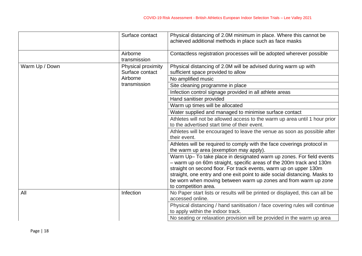|                | Surface contact                       | Physical distancing of 2.0M minimum in place. Where this cannot be<br>achieved additional methods in place such as face masks                                                                                                                                                                                                                                                             |
|----------------|---------------------------------------|-------------------------------------------------------------------------------------------------------------------------------------------------------------------------------------------------------------------------------------------------------------------------------------------------------------------------------------------------------------------------------------------|
|                | Airborne<br>transmission              | Contactless registration processes will be adopted wherever possible                                                                                                                                                                                                                                                                                                                      |
| Warm Up / Down | Physical proximity<br>Surface contact | Physical distancing of 2.0M will be advised during warm up with<br>sufficient space provided to allow                                                                                                                                                                                                                                                                                     |
|                | Airborne                              | No amplified music                                                                                                                                                                                                                                                                                                                                                                        |
|                | transmission                          | Site cleaning programme in place                                                                                                                                                                                                                                                                                                                                                          |
|                |                                       | Infection control signage provided in all athlete areas                                                                                                                                                                                                                                                                                                                                   |
|                |                                       | Hand sanitiser provided                                                                                                                                                                                                                                                                                                                                                                   |
|                |                                       | Warm up times will be allocated                                                                                                                                                                                                                                                                                                                                                           |
|                |                                       | Water supplied and managed to minimise surface contact                                                                                                                                                                                                                                                                                                                                    |
|                |                                       | Athletes will not be allowed access to the warm up area until 1 hour prior<br>to the advertised start time of their event.                                                                                                                                                                                                                                                                |
|                |                                       | Athletes will be encouraged to leave the venue as soon as possible after<br>their event.                                                                                                                                                                                                                                                                                                  |
|                |                                       | Athletes will be required to comply with the face coverings protocol in<br>the warm up area (exemption may apply).                                                                                                                                                                                                                                                                        |
|                |                                       | Warm Up-To take place in designated warm up zones. For field events<br>- warm up on 60m straight, specific areas of the 200m track and 130m<br>straight on second floor. For track events, warm up on upper 130m<br>straight, one entry and one exit point to aide social distancing. Masks to<br>be worn when moving between warm up zones and from warm up zone<br>to competition area. |
| All            | Infection                             | No Paper start lists or results will be printed or displayed, this can all be<br>accessed online.                                                                                                                                                                                                                                                                                         |
|                |                                       | Physical distancing / hand sanitisation / face covering rules will continue<br>to apply within the indoor track.                                                                                                                                                                                                                                                                          |
|                |                                       | No seating or relaxation provision will be provided in the warm up area                                                                                                                                                                                                                                                                                                                   |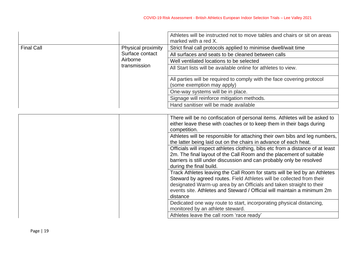|                   |                    | Athletes will be instructed not to move tables and chairs or sit on areas<br>marked with a red X.                                                                                                                                                                                                                 |  |
|-------------------|--------------------|-------------------------------------------------------------------------------------------------------------------------------------------------------------------------------------------------------------------------------------------------------------------------------------------------------------------|--|
| <b>Final Call</b> | Physical proximity | Strict final call protocols applied to minimise dwell/wait time                                                                                                                                                                                                                                                   |  |
|                   | Surface contact    | All surfaces and seats to be cleaned between calls                                                                                                                                                                                                                                                                |  |
|                   | Airborne           | Well ventilated locations to be selected                                                                                                                                                                                                                                                                          |  |
|                   | transmission       | All Start lists will be available online for athletes to view.                                                                                                                                                                                                                                                    |  |
|                   |                    | All parties will be required to comply with the face covering protocol<br>(some exemption may apply)                                                                                                                                                                                                              |  |
|                   |                    | One-way systems will be in place.                                                                                                                                                                                                                                                                                 |  |
|                   |                    | Signage will reinforce mitigation methods.                                                                                                                                                                                                                                                                        |  |
|                   |                    | Hand sanitiser will be made available                                                                                                                                                                                                                                                                             |  |
|                   |                    |                                                                                                                                                                                                                                                                                                                   |  |
|                   |                    | There will be no confiscation of personal items. Athletes will be asked to<br>either leave these with coaches or to keep them in their bags during<br>competition.                                                                                                                                                |  |
|                   |                    | Athletes will be responsible for attaching their own bibs and leg numbers,<br>the latter being laid out on the chairs in advance of each heat.                                                                                                                                                                    |  |
|                   |                    | Officials will inspect athletes clothing, bibs etc from a distance of at least<br>2m. The final layout of the Call Room and the placement of suitable<br>barriers is still under discussion and can probably only be resolved<br>during the final build.                                                          |  |
|                   |                    | Track Athletes leaving the Call Room for starts will be led by an Athletes<br>Steward by agreed routes. Field Athletes will be collected from their<br>designated Warm-up area by an Officials and taken straight to their<br>events site. Athletes and Steward / Official will maintain a minimum 2m<br>distance |  |
|                   |                    | Dedicated one way route to start, incorporating physical distancing,<br>monitored by an athlete steward.                                                                                                                                                                                                          |  |
|                   |                    | Athletes leave the call room 'race ready'                                                                                                                                                                                                                                                                         |  |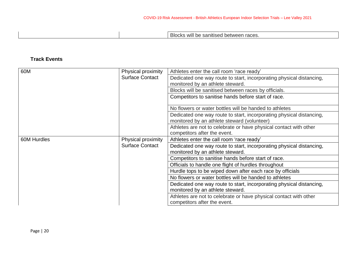Blocks will be sanitised between races.

# **Track Events**

| 60M                | Physical proximity     | Athletes enter the call room 'race ready'                            |  |
|--------------------|------------------------|----------------------------------------------------------------------|--|
|                    | <b>Surface Contact</b> | Dedicated one way route to start, incorporating physical distancing, |  |
|                    |                        | monitored by an athlete steward.                                     |  |
|                    |                        | Blocks will be sanitised between races by officials.                 |  |
|                    |                        | Competitors to sanitise hands before start of race.                  |  |
|                    |                        | No flowers or water bottles will be handed to athletes               |  |
|                    |                        | Dedicated one way route to start, incorporating physical distancing, |  |
|                    |                        | monitored by an athlete steward (volunteer)                          |  |
|                    |                        | Athletes are not to celebrate or have physical contact with other    |  |
|                    |                        | competitors after the event.                                         |  |
| <b>60M Hurdles</b> | Physical proximity     | Athletes enter the call room 'race ready'                            |  |
|                    | <b>Surface Contact</b> | Dedicated one way route to start, incorporating physical distancing, |  |
|                    |                        | monitored by an athlete steward.                                     |  |
|                    |                        | Competitors to sanitise hands before start of race.                  |  |
|                    |                        | Officials to handle one flight of hurdles throughout                 |  |
|                    |                        | Hurdle tops to be wiped down after each race by officials            |  |
|                    |                        | No flowers or water bottles will be handed to athletes               |  |
|                    |                        | Dedicated one way route to start, incorporating physical distancing, |  |
|                    |                        | monitored by an athlete steward.                                     |  |
|                    |                        | Athletes are not to celebrate or have physical contact with other    |  |
|                    |                        | competitors after the event.                                         |  |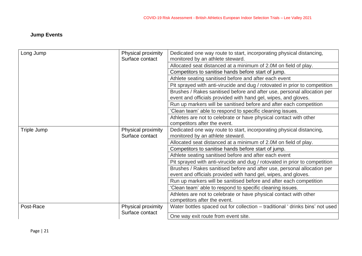# **Jump Events**

| Long Jump                                          | Physical proximity                    | Dedicated one way route to start, incorporating physical distancing,                                                                      |  |
|----------------------------------------------------|---------------------------------------|-------------------------------------------------------------------------------------------------------------------------------------------|--|
|                                                    | Surface contact                       | monitored by an athlete steward.                                                                                                          |  |
|                                                    |                                       | Allocated seat distanced at a minimum of 2.0M on field of play.                                                                           |  |
|                                                    |                                       | Competitors to sanitise hands before start of jump.                                                                                       |  |
|                                                    |                                       | Athlete seating sanitised before and after each event                                                                                     |  |
|                                                    |                                       | Pit sprayed with anti-virucide and dug / rotovated in prior to competition                                                                |  |
|                                                    |                                       | Brushes / Rakes sanitised before and after use, personal allocation per<br>event and officials provided with hand gel, wipes, and gloves. |  |
|                                                    |                                       | Run up markers will be sanitised before and after each competition                                                                        |  |
|                                                    |                                       | 'Clean team' able to respond to specific cleaning issues.                                                                                 |  |
|                                                    |                                       | Athletes are not to celebrate or have physical contact with other                                                                         |  |
|                                                    |                                       | competitors after the event.                                                                                                              |  |
| Triple Jump                                        | Physical proximity<br>Surface contact | Dedicated one way route to start, incorporating physical distancing,                                                                      |  |
|                                                    |                                       | monitored by an athlete steward.                                                                                                          |  |
|                                                    |                                       | Allocated seat distanced at a minimum of 2.0M on field of play.                                                                           |  |
|                                                    |                                       | Competitors to sanitise hands before start of jump.                                                                                       |  |
|                                                    |                                       | Athlete seating sanitised before and after each event                                                                                     |  |
|                                                    |                                       | Pit sprayed with anti-virucide and dug / rotovated in prior to competition                                                                |  |
|                                                    |                                       | Brushes / Rakes sanitised before and after use, personal allocation per                                                                   |  |
|                                                    |                                       | event and officials provided with hand gel, wipes, and gloves.                                                                            |  |
|                                                    |                                       | Run up markers will be sanitised before and after each competition                                                                        |  |
|                                                    |                                       | 'Clean team' able to respond to specific cleaning issues.                                                                                 |  |
|                                                    |                                       | Athletes are not to celebrate or have physical contact with other                                                                         |  |
|                                                    |                                       | competitors after the event.                                                                                                              |  |
| Post-Race<br>Physical proximity<br>Surface contact |                                       | Water bottles spaced out for collection – traditional 'drinks bins' not used                                                              |  |
|                                                    |                                       | One way exit route from event site.                                                                                                       |  |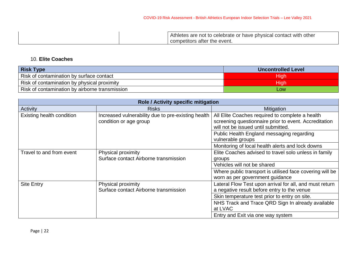| Athletes are not to celebrate or have physical contact with other |
|-------------------------------------------------------------------|
| competitors after the event.                                      |

# 10. **Elite Coaches**

| <b>Risk Type</b>                               | <b>Uncontrolled Level</b> |
|------------------------------------------------|---------------------------|
| Risk of contamination by surface contact       | High                      |
| Risk of contamination by physical proximity    | Hıqh                      |
| Risk of contamination by airborne transmission | LOW                       |

| Role / Activity specific mitigation |                                                    |                                                          |  |  |
|-------------------------------------|----------------------------------------------------|----------------------------------------------------------|--|--|
| Activity                            | <b>Risks</b>                                       | Mitigation                                               |  |  |
| Existing health condition           | Increased vulnerability due to pre-existing health | All Elite Coaches required to complete a health          |  |  |
|                                     | condition or age group                             | screening questionnaire prior to event. Accreditation    |  |  |
|                                     |                                                    | will not be issued until submitted.                      |  |  |
|                                     |                                                    | Public Health England messaging regarding                |  |  |
|                                     |                                                    | vulnerable groups                                        |  |  |
|                                     |                                                    | Monitoring of local health alerts and lock downs         |  |  |
| Travel to and from event            | Physical proximity                                 | Elite Coaches advised to travel solo unless in family    |  |  |
|                                     | Surface contact Airborne transmission              | groups                                                   |  |  |
|                                     |                                                    | Vehicles will not be shared                              |  |  |
|                                     |                                                    | Where public transport is utilised face covering will be |  |  |
|                                     |                                                    | worn as per government guidance                          |  |  |
| <b>Site Entry</b>                   | Physical proximity                                 | Lateral Flow Test upon arrival for all, and must return  |  |  |
|                                     | Surface contact Airborne transmission              | a negative result before entry to the venue              |  |  |
|                                     |                                                    | Skin temperature test prior to entry on site.            |  |  |
|                                     |                                                    | NHS Track and Trace QRD Sign In already available        |  |  |
|                                     |                                                    | at LVAC                                                  |  |  |
|                                     |                                                    | Entry and Exit via one way system                        |  |  |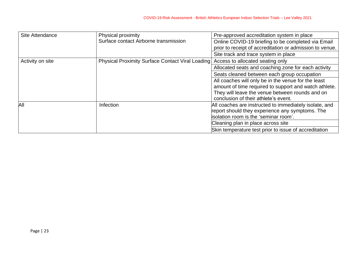| Site Attendance  | Physical proximity                                      | Pre-approved accreditation system in place               |
|------------------|---------------------------------------------------------|----------------------------------------------------------|
|                  | Surface contact Airborne transmission                   | Online COVID-19 briefing to be completed via Email       |
|                  |                                                         | prior to receipt of accreditation or admission to venue. |
|                  |                                                         | Site track and trace system in place                     |
| Activity on site | <b>Physical Proximity Surface Contact Viral Loading</b> | Access to allocated seating only                         |
|                  |                                                         | Allocated seats and coaching zone for each activity      |
|                  |                                                         | Seats cleaned between each group occupation              |
|                  |                                                         | All coaches will only be in the venue for the least      |
|                  |                                                         | amount of time required to support and watch athlete.    |
|                  |                                                         | They will leave the venue between rounds and on          |
|                  |                                                         | conclusion of their athlete's event.                     |
| All              | Infection                                               | All coaches are instructed to immediately isolate, and   |
|                  |                                                         | report should they experience any symptoms. The          |
|                  |                                                         | isolation room is the 'seminar room'.                    |
|                  |                                                         | Cleaning plan in place across site                       |
|                  |                                                         | Skin temperature test prior to issue of accreditation    |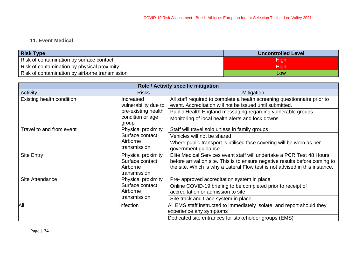# **11. Event Medical**

| <b>Risk Type</b>                               | <b>Uncontrolled Level</b> |
|------------------------------------------------|---------------------------|
| Risk of contamination by surface contact       | High                      |
| Risk of contamination by physical proximity    | High                      |
| Risk of contamination by airborne transmission | LOW                       |

| Role / Activity specific mitigation |                                                                                       |                                                                                                                                                                                                                                     |  |
|-------------------------------------|---------------------------------------------------------------------------------------|-------------------------------------------------------------------------------------------------------------------------------------------------------------------------------------------------------------------------------------|--|
| Activity                            | <b>Risks</b>                                                                          | <b>Mitigation</b>                                                                                                                                                                                                                   |  |
| Existing health condition           | Increased<br>vulnerability due to<br>pre-existing health<br>condition or age<br>group | All staff required to complete a health screening questionnaire prior to<br>event. Accreditation will not be issued until submitted.                                                                                                |  |
|                                     |                                                                                       | Public Health England messaging regarding vulnerable groups                                                                                                                                                                         |  |
|                                     |                                                                                       | Monitoring of local health alerts and lock downs                                                                                                                                                                                    |  |
| Travel to and from event            | Physical proximity<br>Surface contact<br>Airborne<br>transmission                     | Staff will travel solo unless in family groups                                                                                                                                                                                      |  |
|                                     |                                                                                       | Vehicles will not be shared                                                                                                                                                                                                         |  |
|                                     |                                                                                       | Where public transport is utilised face covering will be worn as per<br>government guidance                                                                                                                                         |  |
| <b>Site Entry</b>                   | Physical proximity<br>Surface contact<br>Airborne<br>transmission                     | Elite Medical Services event staff will undertake a PCR Test 48 Hours<br>before arrival on site. This is to ensure negative results before coming to<br>the site. Which is why a Lateral Flow test is not advised in this instance. |  |
| Site Attendance                     | Physical proximity<br>Surface contact<br>Airborne<br>transmission                     | Pre- approved accreditation system in place                                                                                                                                                                                         |  |
|                                     |                                                                                       | Online COVID-19 briefing to be completed prior to receipt of<br>accreditation or admission to site                                                                                                                                  |  |
|                                     |                                                                                       | Site track and trace system in place                                                                                                                                                                                                |  |
| All                                 | <b>Infection</b>                                                                      | All EMS staff instructed to immediately isolate, and report should they                                                                                                                                                             |  |
|                                     |                                                                                       | experience any symptoms                                                                                                                                                                                                             |  |
|                                     |                                                                                       | Dedicated site entrances for stakeholder groups (EMS)                                                                                                                                                                               |  |